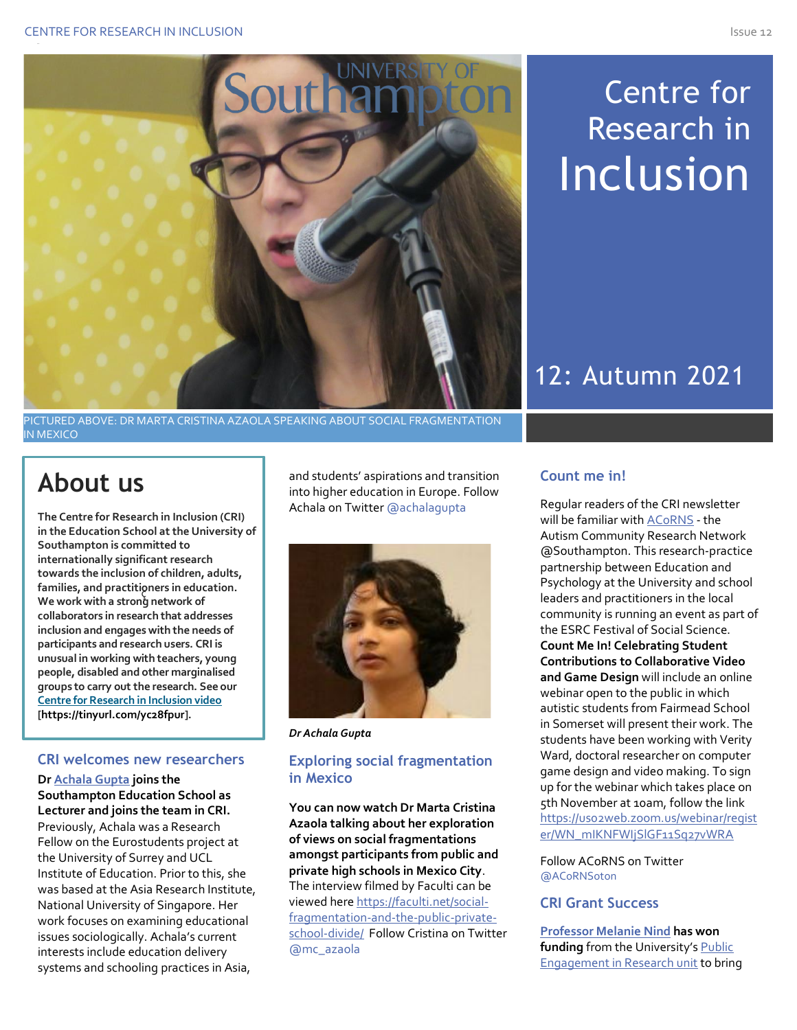

# Centre for Research in Inclusion

## 12: Autumn 2021

PICTURED ABOVE: DR MARTA CRISTINA AZAOLA SPEAKING ABOUT SOCIAL FRAGMENTATION IN MEXICO

## **About us**

I

ç **families, and practitioners in education. The Centre for Research in Inclusion (CRI) in the Education School at the University of Southampton is committed to internationally significant research towards the inclusion of children, adults, We work with a strong network of collaborators in research that addresses inclusion and engages with the needs of participants and research users. CRI is unusual in working with teachers, young people, disabled and other marginalised groups to carry out the research. See our [Centre for Research in Inclusion video](https://youtu.be/9WIoQyq75II) [https://tinyurl.com/yc28fpur].**

## **CRI welcomes new researchers**

**Dr [Achala Gupta](https://www.southampton.ac.uk/education/about/staff/ag4n21.page) joins the Southampton Education School as Lecturer and joins the team in CRI.** Previously, Achala was a Research Fellow on the Eurostudents project at the University of Surrey and UCL Institute of Education. Prior to this, she was based at the Asia Research Institute, National University of Singapore. Her work focuses on examining educational issues sociologically. Achala's current interests include education delivery systems and schooling practices in Asia,

and students' aspirations and transition into higher education in Europe. Follow Achala on Twitte[r @achalagupta](https://eur03.safelinks.protection.outlook.com/?url=https%3A%2F%2Ftwitter.com%2Fachalagupta&data=04%7C01%7CM.A.Nind%40soton.ac.uk%7C0026d56f89bb4cd40e5408d9577cb817%7C4a5378f929f44d3ebe89669d03ada9d8%7C0%7C0%7C637637015512255230%7CUnknown%7CTWFpbGZsb3d8eyJWIjoiMC4wLjAwMDAiLCJQIjoiV2luMzIiLCJBTiI6Ik1haWwiLCJXVCI6Mn0%3D%7C1000&sdata=tLaACnagj%2F5fb%2BKqrvkWB4TttmeRFWhcvSIag%2F8Txyk%3D&reserved=0)



*Dr Achala Gupta*

## **Exploring social fragmentation in Mexico**

**You can now watch Dr Marta Cristina Azaola talking about her exploration of views on social fragmentations amongst participants from public and private high schools in Mexico City**. The interview filmed by [Faculti](https://faculti.net/) can be viewed her[e https://faculti.net/social](https://eur03.safelinks.protection.outlook.com/?url=https%3A%2F%2Fmailtrack.io%2Ftrace%2Flink%2Fe14a3791390a4378f394cd816c0300244d3d12d2%3Furl%3Dhttps%253A%252F%252Ffaculti.net%252Fsocial-fragmentation-and-the-public-private-school-divide%252F%26userId%3D1876170%26signature%3D6266a68a7dcbd8a4&data=04%7C01%7CM.A.Nind%40soton.ac.uk%7C2a435bc9d17d448df43908d984bd4823%7C4a5378f929f44d3ebe89669d03ada9d8%7C0%7C0%7C637686770749450808%7CUnknown%7CTWFpbGZsb3d8eyJWIjoiMC4wLjAwMDAiLCJQIjoiV2luMzIiLCJBTiI6Ik1haWwiLCJXVCI6Mn0%3D%7C1000&sdata=ISF%2FY3beGCuHvw6mOcfbE91Q2lGo9dOO2aj6lfww2%2Fg%3D&reserved=0)[fragmentation-and-the-public-private](https://eur03.safelinks.protection.outlook.com/?url=https%3A%2F%2Fmailtrack.io%2Ftrace%2Flink%2Fe14a3791390a4378f394cd816c0300244d3d12d2%3Furl%3Dhttps%253A%252F%252Ffaculti.net%252Fsocial-fragmentation-and-the-public-private-school-divide%252F%26userId%3D1876170%26signature%3D6266a68a7dcbd8a4&data=04%7C01%7CM.A.Nind%40soton.ac.uk%7C2a435bc9d17d448df43908d984bd4823%7C4a5378f929f44d3ebe89669d03ada9d8%7C0%7C0%7C637686770749450808%7CUnknown%7CTWFpbGZsb3d8eyJWIjoiMC4wLjAwMDAiLCJQIjoiV2luMzIiLCJBTiI6Ik1haWwiLCJXVCI6Mn0%3D%7C1000&sdata=ISF%2FY3beGCuHvw6mOcfbE91Q2lGo9dOO2aj6lfww2%2Fg%3D&reserved=0)[school-divide/](https://eur03.safelinks.protection.outlook.com/?url=https%3A%2F%2Fmailtrack.io%2Ftrace%2Flink%2Fe14a3791390a4378f394cd816c0300244d3d12d2%3Furl%3Dhttps%253A%252F%252Ffaculti.net%252Fsocial-fragmentation-and-the-public-private-school-divide%252F%26userId%3D1876170%26signature%3D6266a68a7dcbd8a4&data=04%7C01%7CM.A.Nind%40soton.ac.uk%7C2a435bc9d17d448df43908d984bd4823%7C4a5378f929f44d3ebe89669d03ada9d8%7C0%7C0%7C637686770749450808%7CUnknown%7CTWFpbGZsb3d8eyJWIjoiMC4wLjAwMDAiLCJQIjoiV2luMzIiLCJBTiI6Ik1haWwiLCJXVCI6Mn0%3D%7C1000&sdata=ISF%2FY3beGCuHvw6mOcfbE91Q2lGo9dOO2aj6lfww2%2Fg%3D&reserved=0) Follow Cristina on Twitter [@mc\\_azaola](https://twitter.com/mc_azaola)

## **Count me in!**

Regular readers of the CRI newsletter will be familiar with **ACORNS** - the Autism Community Research Network @Southampton. This research-practice partnership between Education and Psychology at the University and school leaders and practitioners in the local community is running an event as part of the ESRC Festival of Social Science. **Count Me In! Celebrating Student Contributions to Collaborative Video and Game Design** will include an online webinar open to the public in which autistic students from Fairmead School in Somerset will present their work. The students have been working with Verity Ward, doctoral researcher on computer game design and video making. To sign up for the webinar which takes place on 5th November at 10am, follow the link [https://us02web.zoom.us/webinar/regist](https://eur03.safelinks.protection.outlook.com/?url=https%3A%2F%2Fus02web.zoom.us%2Fwebinar%2Fregister%2FWN_mIKNFWIjSlGF11Sq27vWRA&data=04%7C01%7CM.A.Nind%40soton.ac.uk%7C9d8706a742ae4f84aa4708d9870b8ff8%7C4a5378f929f44d3ebe89669d03ada9d8%7C0%7C0%7C637689305992143755%7CUnknown%7CTWFpbGZsb3d8eyJWIjoiMC4wLjAwMDAiLCJQIjoiV2luMzIiLCJBTiI6Ik1haWwiLCJXVCI6Mn0%3D%7C1000&sdata=axh4D2leN0517xqSvs%2FyL22ukIkSnETzz0U9RBmwUpg%3D&reserved=0) [er/WN\\_mIKNFWIjSlGF11Sq27vWRA](https://eur03.safelinks.protection.outlook.com/?url=https%3A%2F%2Fus02web.zoom.us%2Fwebinar%2Fregister%2FWN_mIKNFWIjSlGF11Sq27vWRA&data=04%7C01%7CM.A.Nind%40soton.ac.uk%7C9d8706a742ae4f84aa4708d9870b8ff8%7C4a5378f929f44d3ebe89669d03ada9d8%7C0%7C0%7C637689305992143755%7CUnknown%7CTWFpbGZsb3d8eyJWIjoiMC4wLjAwMDAiLCJQIjoiV2luMzIiLCJBTiI6Ik1haWwiLCJXVCI6Mn0%3D%7C1000&sdata=axh4D2leN0517xqSvs%2FyL22ukIkSnETzz0U9RBmwUpg%3D&reserved=0)

Follow ACoRNS on Twitter [@ACoRNSoton](https://twitter.com/acornsoton?lang=en)

### **CRI Grant Success**

**[Professor Melanie Nind](https://www.southampton.ac.uk/education/about/staff/man.page?) has won funding** from the University's [Public](https://www.southampton.ac.uk/per/index.page)  [Engagement in Research unit](https://www.southampton.ac.uk/per/index.page) to bring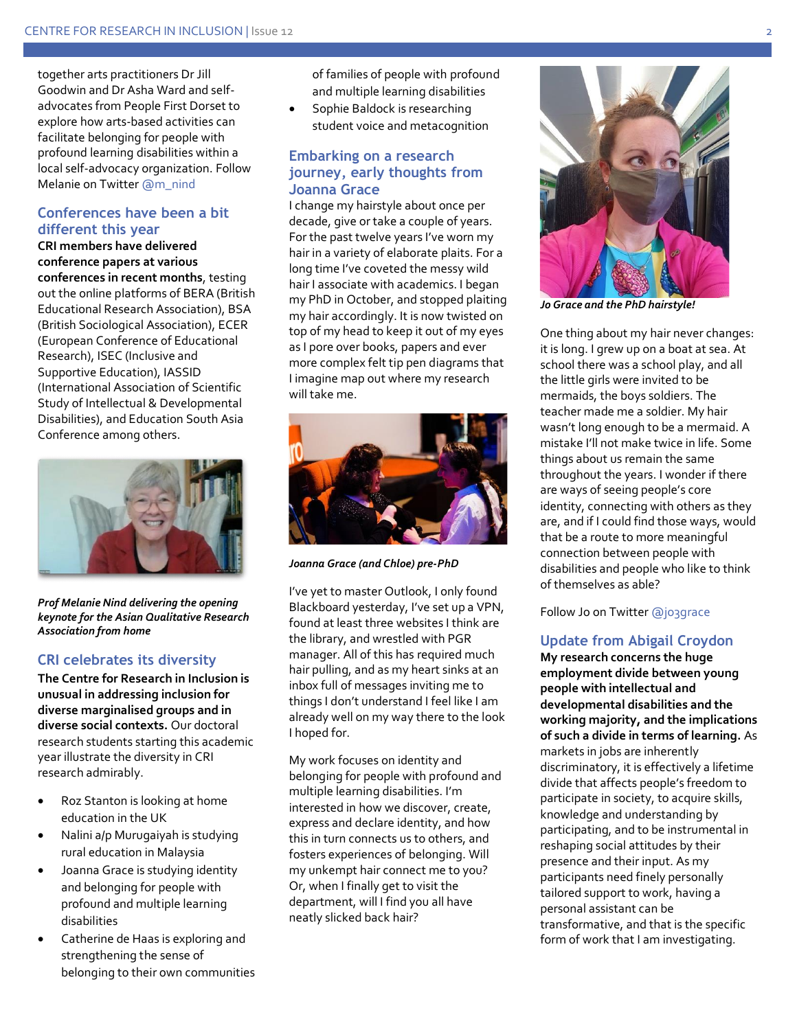together arts practitioners Dr Jill Goodwin and Dr Asha Ward and selfadvocates from People First Dorset to explore how arts-based activities can facilitate belonging for people with profound learning disabilities within a local self-advocacy organization. Follow Melanie on Twitte[r @m\\_nind](https://twitter.com/m_nind?ref_src=twsrc%5Egoogle%7Ctwcamp%5Eserp%7Ctwgr%5Eauthor)

#### **Conferences have been a bit different this year**

**CRI members have delivered conference papers at various conferences in recent months**, testing out the online platforms of BERA (British Educational Research Association), BSA (British Sociological Association), ECER (European Conference of Educational Research), ISEC (Inclusive and Supportive Education), IASSID (International Association of Scientific Study of Intellectual & Developmental Disabilities), and Education South Asia Conference among others.



*Prof Melanie Nind delivering the opening keynote for the Asian Qualitative Research Association from home*

#### **CRI celebrates its diversity**

**The Centre for Research in Inclusion is unusual in addressing inclusion for diverse marginalised groups and in diverse social contexts.** Our doctoral research students starting this academic year illustrate the diversity in CRI research admirably.

- Roz Stanton is looking at home education in the UK
- Nalini a/p Murugaiyah is studying rural education in Malaysia
- Joanna Grace is studying identity and belonging for people with profound and multiple learning disabilities
- Catherine de Haas is exploring and strengthening the sense of belonging to their own communities

of families of people with profound and multiple learning disabilities

Sophie Baldock is researching student voice and metacognition

#### **Embarking on a research journey, early thoughts from Joanna Grace**

I change my hairstyle about once per decade, give or take a couple of years. For the past twelve years I've worn my hair in a variety of elaborate plaits. For a long time I've coveted the messy wild hair I associate with academics. I began my PhD in October, and stopped plaiting my hair accordingly. It is now twisted on top of my head to keep it out of my eyes as I pore over books, papers and ever more complex felt tip pen diagrams that I imagine map out where my research will take me.



*Joanna Grace (and Chloe) pre-PhD*

I've yet to master Outlook, I only found Blackboard yesterday, I've set up a VPN, found at least three websites I think are the library, and wrestled with PGR manager. All of this has required much hair pulling, and as my heart sinks at an inbox full of messages inviting me to things I don't understand I feel like I am already well on my way there to the look I hoped for.

My work focuses on identity and belonging for people with profound and multiple learning disabilities. I'm interested in how we discover, create, express and declare identity, and how this in turn connects us to others, and fosters experiences of belonging. Will my unkempt hair connect me to you? Or, when I finally get to visit the department, will I find you all have neatly slicked back hair?



*Jo Grace and the PhD hairstyle!*

One thing about my hair never changes: it is long. I grew up on a boat at sea. At school there was a school play, and all the little girls were invited to be mermaids, the boys soldiers. The teacher made me a soldier. My hair wasn't long enough to be a mermaid. A mistake I'll not make twice in life. Some things about us remain the same throughout the years. I wonder if there are ways of seeing people's core identity, connecting with others as they are, and if I could find those ways, would that be a route to more meaningful connection between people with disabilities and people who like to think of themselves as able?

Follow Jo on Twitte[r @jo3grace](https://twitter.com/jo3grace?ref_src=twsrc%5Egoogle%7Ctwcamp%5Eserp%7Ctwgr%5Eauthor)

## **Update from Abigail Croydon**

**My research concerns the huge employment divide between young people with intellectual and developmental disabilities and the working majority, and the implications of such a divide in terms of learning.** As markets in jobs are inherently discriminatory, it is effectively a lifetime divide that affects people's freedom to participate in society, to acquire skills, knowledge and understanding by participating, and to be instrumental in reshaping social attitudes by their presence and their input. As my participants need finely personally tailored support to work, having a personal assistant can be transformative, and that is the specific form of work that I am investigating.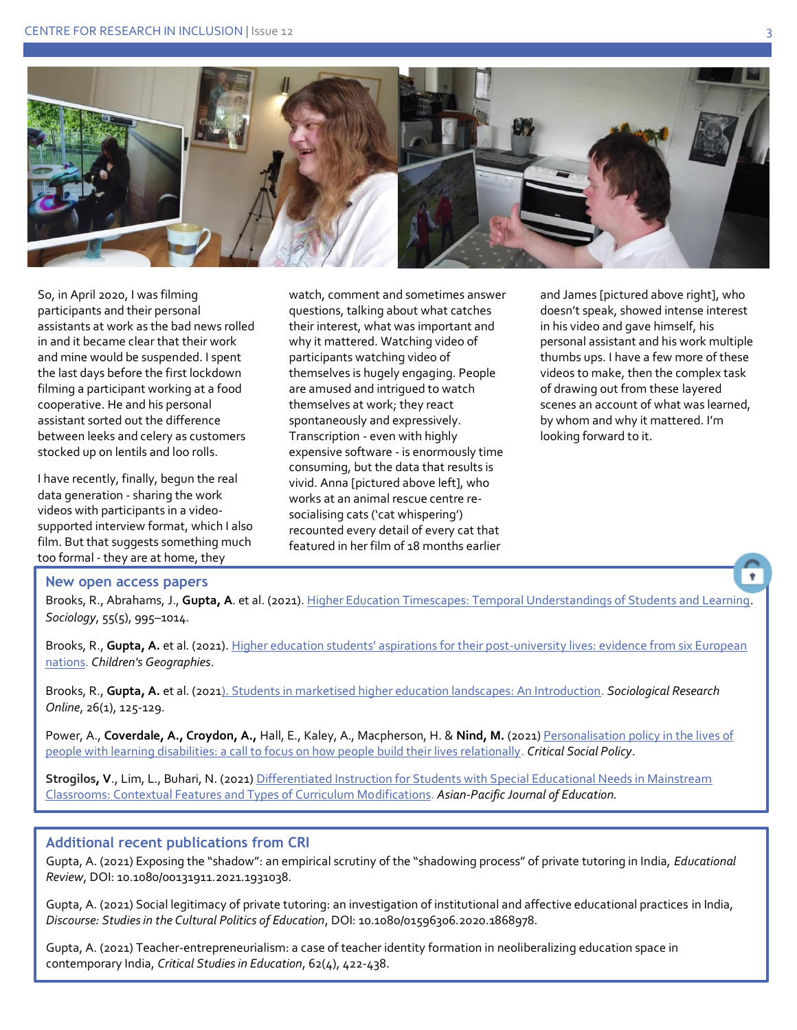

So, in April 2020, I was filming participants and their personal assistants at work as the bad news rolled in and it became clear that their work and mine would be suspended. I spent the last days before the first lockdown filming a participant working at a food cooperative. He and his personal assistant sorted out the difference between leeks and celery as customers stocked up on lentils and loo rolls.

I have recently, finally, begun the real data generation - sharing the work videos with participants in a videosupported interview format, which I also film. But that suggests something much too formal - they are at home, they

watch, comment and sometimes answer questions, talking about what catches their interest, what was important and why it mattered. Watching video of participants watching video of themselves is hugely engaging. People are amused and intrigued to watch themselves at work; they react spontaneously and expressively. Transcription - even with highly expensive software - is enormously time consuming, but the data that results is vivid. Anna [pictured above left], who works at an animal rescue centre resocialising cats ('cat whispering') recounted every detail of every cat that featured in her film of 18 months earlier

and James [pictured above right], who doesn't speak, showed intense interest in his video and gave himself, his personal assistant and his work multiple thumbs ups. I have a few more of these videos to make, then the complex task of drawing out from these layered scenes an account of what was learned, by whom and why it mattered. I'm looking forward to it.

#### **New open access papers**

Brooks, R., Abrahams, J., **Gupta, A**. et al. (2021)[. Higher Education Timescapes: Temporal Understandings of Students and Learning.](https://doi.org/10.1177/0038038521996979) *Sociology*, 55(5), 995–1014.

Brooks, R., Gupta, A. et al. (2021). [Higher education students' aspirations for their post](https://doi.org/10.1080/14733285.2021.1934403)-university lives: evidence from six European [nations.](https://doi.org/10.1080/14733285.2021.1934403) *Children's Geographies*.

Brooks, R., **Gupta, A.** et al. (202[1\). Students in marketised higher education landscapes: An Introduction.](https://doi.org/10.1177/1360780420971651) *Sociological Research Online*, 26(1), 125-129.

Power, A., Coverdale, A., Croydon, A., Hall, E., Kaley, A., Macpherson, H. & Nind, M. (2021) Personalisation policy in the lives of [people with learning disabilities: a call to focus on how people build their lives relationally.](https://journals.sagepub.com/doi/full/10.1177/02610183211004534) *Critical Social Policy*.

**Strogilos, V**., Lim, L., Buhari, N. (2021) [Differentiated Instruction for Students with Special Educational Needs in Mainstream](https://www.tandfonline.com/doi/full/10.1080/02188791.2021.1984873)  [Classrooms: Contextual Features and Types of Curriculum Modifications.](https://www.tandfonline.com/doi/full/10.1080/02188791.2021.1984873) *Asian-Pacific Journal of Education.* 

#### **Additional recent publications from CRI**

Gupta, A. (2021) Exposing the "shadow": an empirical scrutiny of the "shadowing process" of private tutoring in India, *Educational Review*, DOI: 10.1080/00131911.2021.1931038.

Gupta, A. (2021) Social legitimacy of private tutoring: an investigation of institutional and affective educational practices in India, *Discourse: Studies in the Cultural Politics of Education*, DOI: 10.1080/01596306.2020.1868978.

Gupta, A. (2021) Teacher-entrepreneurialism: a case of teacher identity formation in neoliberalizing education space in contemporary India, *Critical Studies in Education*, 62(4), 422-438.